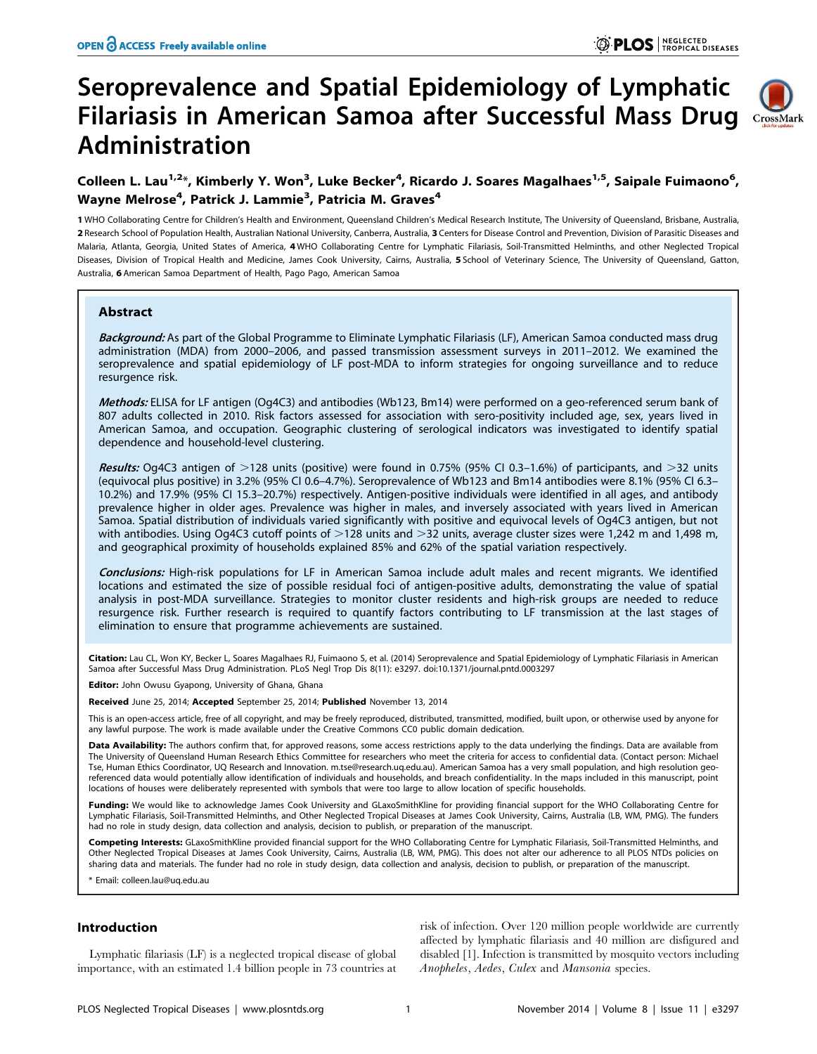# Seroprevalence and Spatial Epidemiology of Lymphatic Filariasis in American Samoa after Successful Mass Drug Administration



## Colleen L. Lau<sup>1,2</sup>\*, Kimberly Y. Won<sup>3</sup>, Luke Becker<sup>4</sup>, Ricardo J. Soares Magalhaes<sup>1,5</sup>, Saipale Fuimaono<sup>6</sup>, Wayne Melrose<sup>4</sup>, Patrick J. Lammie<sup>3</sup>, Patricia M. Graves<sup>4</sup>

1 WHO Collaborating Centre for Children's Health and Environment, Queensland Children's Medical Research Institute, The University of Queensland, Brisbane, Australia, 2 Research School of Population Health, Australian National University, Canberra, Australia, 3 Centers for Disease Control and Prevention, Division of Parasitic Diseases and Malaria, Atlanta, Georgia, United States of America, 4 WHO Collaborating Centre for Lymphatic Filariasis, Soil-Transmitted Helminths, and other Neglected Tropical Diseases, Division of Tropical Health and Medicine, James Cook University, Cairns, Australia, 5 School of Veterinary Science, The University of Queensland, Gatton, Australia, 6 American Samoa Department of Health, Pago Pago, American Samoa

## Abstract

Background: As part of the Global Programme to Eliminate Lymphatic Filariasis (LF), American Samoa conducted mass drug administration (MDA) from 2000–2006, and passed transmission assessment surveys in 2011–2012. We examined the seroprevalence and spatial epidemiology of LF post-MDA to inform strategies for ongoing surveillance and to reduce resurgence risk.

Methods: ELISA for LF antigen (Og4C3) and antibodies (Wb123, Bm14) were performed on a geo-referenced serum bank of 807 adults collected in 2010. Risk factors assessed for association with sero-positivity included age, sex, years lived in American Samoa, and occupation. Geographic clustering of serological indicators was investigated to identify spatial dependence and household-level clustering.

Results: Og4C3 antigen of  $>128$  units (positive) were found in 0.75% (95% CI 0.3–1.6%) of participants, and  $>32$  units (equivocal plus positive) in 3.2% (95% CI 0.6–4.7%). Seroprevalence of Wb123 and Bm14 antibodies were 8.1% (95% CI 6.3– 10.2%) and 17.9% (95% CI 15.3–20.7%) respectively. Antigen-positive individuals were identified in all ages, and antibody prevalence higher in older ages. Prevalence was higher in males, and inversely associated with years lived in American Samoa. Spatial distribution of individuals varied significantly with positive and equivocal levels of Og4C3 antigen, but not with antibodies. Using Og4C3 cutoff points of  $>$ 128 units and  $>$ 32 units, average cluster sizes were 1,242 m and 1,498 m, and geographical proximity of households explained 85% and 62% of the spatial variation respectively.

Conclusions: High-risk populations for LF in American Samoa include adult males and recent migrants. We identified locations and estimated the size of possible residual foci of antigen-positive adults, demonstrating the value of spatial analysis in post-MDA surveillance. Strategies to monitor cluster residents and high-risk groups are needed to reduce resurgence risk. Further research is required to quantify factors contributing to LF transmission at the last stages of elimination to ensure that programme achievements are sustained.

Citation: Lau CL, Won KY, Becker L, Soares Magalhaes RJ, Fuimaono S, et al. (2014) Seroprevalence and Spatial Epidemiology of Lymphatic Filariasis in American Samoa after Successful Mass Drug Administration. PLoS Negl Trop Dis 8(11): e3297. doi:10.1371/journal.pntd.0003297

Editor: John Owusu Gyapong, University of Ghana, Ghana

Received June 25, 2014; Accepted September 25, 2014; Published November 13, 2014

This is an open-access article, free of all copyright, and may be freely reproduced, distributed, transmitted, modified, built upon, or otherwise used by anyone for any lawful purpose. The work is made available under the Creative Commons CC0 public domain dedication.

**Data Availability:** The authors confirm that, for approved reasons, some access restrictions apply to the data underlying the findings. Data are available from<br>The University of Queensland Human Research Ethics Committee Tse, Human Ethics Coordinator, UQ Research and Innovation.<m.tse@research.uq.edu.au>). American Samoa has a very small population, and high resolution georeferenced data would potentially allow identification of individuals and households, and breach confidentiality. In the maps included in this manuscript, point locations of houses were deliberately represented with symbols that were too large to allow location of specific households.

Funding: We would like to acknowledge James Cook University and GLaxoSmithKline for providing financial support for the WHO Collaborating Centre for Lymphatic Filariasis, Soil-Transmitted Helminths, and Other Neglected Tropical Diseases at James Cook University, Cairns, Australia (LB, WM, PMG). The funders had no role in study design, data collection and analysis, decision to publish, or preparation of the manuscript.

Competing Interests: GLaxoSmithKline provided financial support for the WHO Collaborating Centre for Lymphatic Filariasis, Soil-Transmitted Helminths, and Other Neglected Tropical Diseases at James Cook University, Cairns, Australia (LB, WM, PMG). This does not alter our adherence to all PLOS NTDs policies on sharing data and materials. The funder had no role in study design, data collection and analysis, decision to publish, or preparation of the manuscript.

\* Email: colleen.lau@uq.edu.au

## Introduction

Lymphatic filariasis (LF) is a neglected tropical disease of global importance, with an estimated 1.4 billion people in 73 countries at risk of infection. Over 120 million people worldwide are currently affected by lymphatic filariasis and 40 million are disfigured and disabled [1]. Infection is transmitted by mosquito vectors including Anopheles, Aedes, Culex and Mansonia species.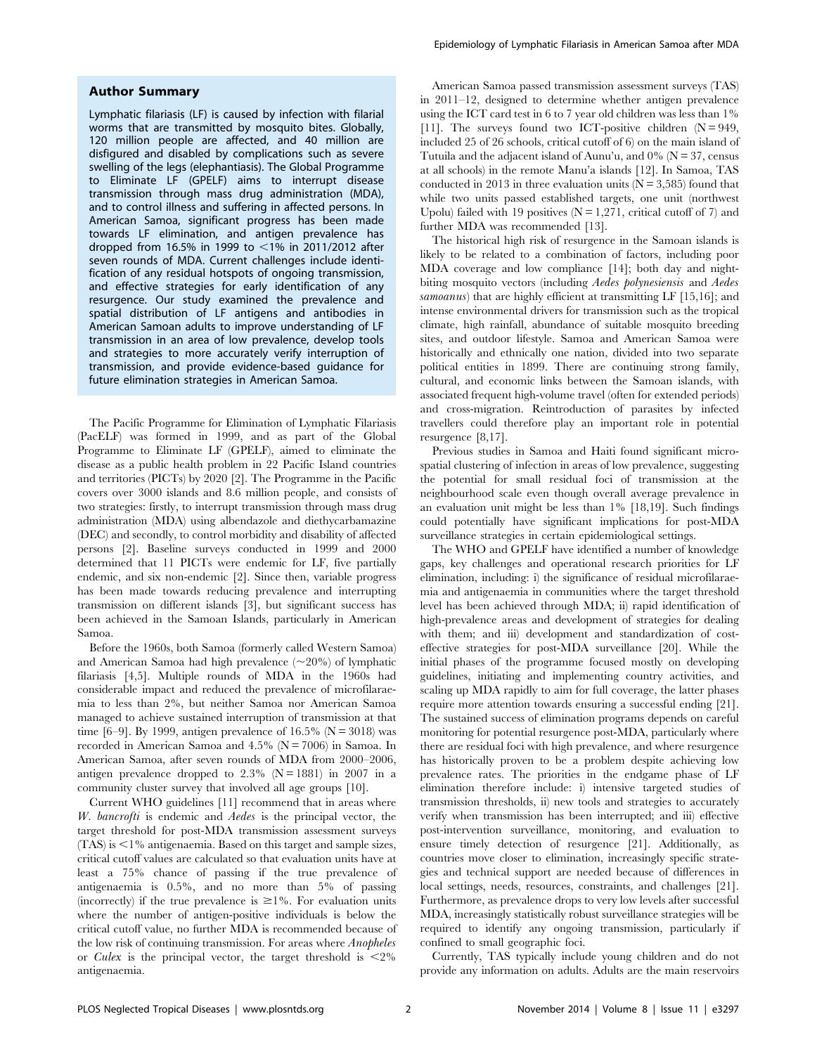## Author Summary

Lymphatic filariasis (LF) is caused by infection with filarial worms that are transmitted by mosquito bites. Globally, 120 million people are affected, and 40 million are disfigured and disabled by complications such as severe swelling of the legs (elephantiasis). The Global Programme to Eliminate LF (GPELF) aims to interrupt disease transmission through mass drug administration (MDA), and to control illness and suffering in affected persons. In American Samoa, significant progress has been made towards LF elimination, and antigen prevalence has dropped from 16.5% in 1999 to  $\leq$ 1% in 2011/2012 after seven rounds of MDA. Current challenges include identification of any residual hotspots of ongoing transmission, and effective strategies for early identification of any resurgence. Our study examined the prevalence and spatial distribution of LF antigens and antibodies in American Samoan adults to improve understanding of LF transmission in an area of low prevalence, develop tools and strategies to more accurately verify interruption of transmission, and provide evidence-based guidance for future elimination strategies in American Samoa.

The Pacific Programme for Elimination of Lymphatic Filariasis (PacELF) was formed in 1999, and as part of the Global Programme to Eliminate LF (GPELF), aimed to eliminate the disease as a public health problem in 22 Pacific Island countries and territories (PICTs) by 2020 [2]. The Programme in the Pacific covers over 3000 islands and 8.6 million people, and consists of two strategies: firstly, to interrupt transmission through mass drug administration (MDA) using albendazole and diethycarbamazine (DEC) and secondly, to control morbidity and disability of affected persons [2]. Baseline surveys conducted in 1999 and 2000 determined that 11 PICTs were endemic for LF, five partially endemic, and six non-endemic [2]. Since then, variable progress has been made towards reducing prevalence and interrupting transmission on different islands [3], but significant success has been achieved in the Samoan Islands, particularly in American Samoa.

Before the 1960s, both Samoa (formerly called Western Samoa) and American Samoa had high prevalence  $(\sim 20\%)$  of lymphatic filariasis [4,5]. Multiple rounds of MDA in the 1960s had considerable impact and reduced the prevalence of microfilaraemia to less than 2%, but neither Samoa nor American Samoa managed to achieve sustained interruption of transmission at that time [6–9]. By 1999, antigen prevalence of 16.5% ( $N = 3018$ ) was recorded in American Samoa and  $4.5\%$  (N = 7006) in Samoa. In American Samoa, after seven rounds of MDA from 2000–2006, antigen prevalence dropped to  $2.3\%$  (N = 1881) in 2007 in a community cluster survey that involved all age groups [10].

Current WHO guidelines [11] recommend that in areas where W. bancrofti is endemic and Aedes is the principal vector, the target threshold for post-MDA transmission assessment surveys  $(TAS)$  is  $\leq$ 1% antigenaemia. Based on this target and sample sizes, critical cutoff values are calculated so that evaluation units have at least a 75% chance of passing if the true prevalence of antigenaemia is 0.5%, and no more than 5% of passing (incorrectly) if the true prevalence is  $\geq 1\%$ . For evaluation units where the number of antigen-positive individuals is below the critical cutoff value, no further MDA is recommended because of the low risk of continuing transmission. For areas where Anopheles or Culex is the principal vector, the target threshold is  $\langle 2\%$ antigenaemia.

American Samoa passed transmission assessment surveys (TAS) in 2011–12, designed to determine whether antigen prevalence using the ICT card test in 6 to 7 year old children was less than 1% [11]. The surveys found two ICT-positive children  $(N = 949,$ included 25 of 26 schools, critical cutoff of 6) on the main island of Tutuila and the adjacent island of Aunu'u, and  $0\%$  (N = 37, census at all schools) in the remote Manu'a islands [12]. In Samoa, TAS conducted in 2013 in three evaluation units  $(N = 3,585)$  found that while two units passed established targets, one unit (northwest Upolu) failed with 19 positives  $(N = 1,271,$  critical cutoff of 7) and further MDA was recommended [13].

The historical high risk of resurgence in the Samoan islands is likely to be related to a combination of factors, including poor MDA coverage and low compliance [14]; both day and nightbiting mosquito vectors (including Aedes polynesiensis and Aedes samoanus) that are highly efficient at transmitting LF [15,16]; and intense environmental drivers for transmission such as the tropical climate, high rainfall, abundance of suitable mosquito breeding sites, and outdoor lifestyle. Samoa and American Samoa were historically and ethnically one nation, divided into two separate political entities in 1899. There are continuing strong family, cultural, and economic links between the Samoan islands, with associated frequent high-volume travel (often for extended periods) and cross-migration. Reintroduction of parasites by infected travellers could therefore play an important role in potential resurgence [8,17].

Previous studies in Samoa and Haiti found significant microspatial clustering of infection in areas of low prevalence, suggesting the potential for small residual foci of transmission at the neighbourhood scale even though overall average prevalence in an evaluation unit might be less than 1% [18,19]. Such findings could potentially have significant implications for post-MDA surveillance strategies in certain epidemiological settings.

The WHO and GPELF have identified a number of knowledge gaps, key challenges and operational research priorities for LF elimination, including: i) the significance of residual microfilaraemia and antigenaemia in communities where the target threshold level has been achieved through MDA; ii) rapid identification of high-prevalence areas and development of strategies for dealing with them; and iii) development and standardization of costeffective strategies for post-MDA surveillance [20]. While the initial phases of the programme focused mostly on developing guidelines, initiating and implementing country activities, and scaling up MDA rapidly to aim for full coverage, the latter phases require more attention towards ensuring a successful ending [21]. The sustained success of elimination programs depends on careful monitoring for potential resurgence post-MDA, particularly where there are residual foci with high prevalence, and where resurgence has historically proven to be a problem despite achieving low prevalence rates. The priorities in the endgame phase of LF elimination therefore include: i) intensive targeted studies of transmission thresholds, ii) new tools and strategies to accurately verify when transmission has been interrupted; and iii) effective post-intervention surveillance, monitoring, and evaluation to ensure timely detection of resurgence [21]. Additionally, as countries move closer to elimination, increasingly specific strategies and technical support are needed because of differences in local settings, needs, resources, constraints, and challenges [21]. Furthermore, as prevalence drops to very low levels after successful MDA, increasingly statistically robust surveillance strategies will be required to identify any ongoing transmission, particularly if confined to small geographic foci.

Currently, TAS typically include young children and do not provide any information on adults. Adults are the main reservoirs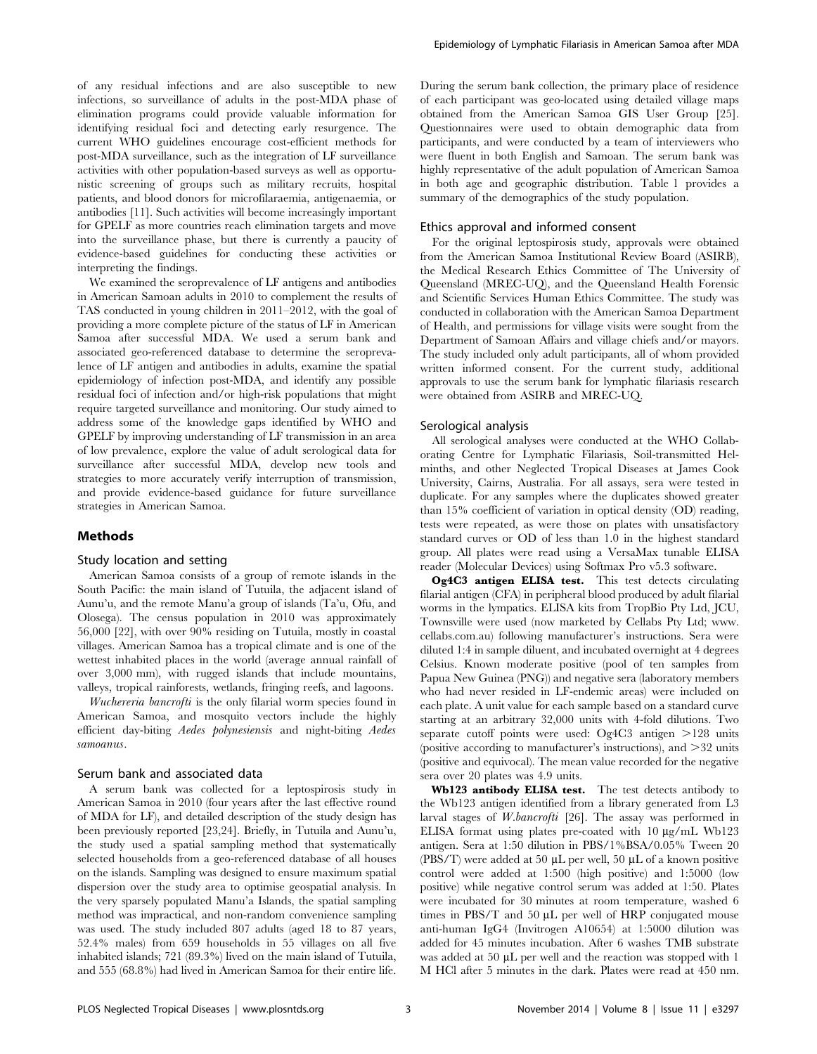of any residual infections and are also susceptible to new infections, so surveillance of adults in the post-MDA phase of elimination programs could provide valuable information for identifying residual foci and detecting early resurgence. The current WHO guidelines encourage cost-efficient methods for post-MDA surveillance, such as the integration of LF surveillance activities with other population-based surveys as well as opportunistic screening of groups such as military recruits, hospital patients, and blood donors for microfilaraemia, antigenaemia, or antibodies [11]. Such activities will become increasingly important for GPELF as more countries reach elimination targets and move into the surveillance phase, but there is currently a paucity of evidence-based guidelines for conducting these activities or interpreting the findings.

We examined the seroprevalence of LF antigens and antibodies in American Samoan adults in 2010 to complement the results of TAS conducted in young children in 2011–2012, with the goal of providing a more complete picture of the status of LF in American Samoa after successful MDA. We used a serum bank and associated geo-referenced database to determine the seroprevalence of LF antigen and antibodies in adults, examine the spatial epidemiology of infection post-MDA, and identify any possible residual foci of infection and/or high-risk populations that might require targeted surveillance and monitoring. Our study aimed to address some of the knowledge gaps identified by WHO and GPELF by improving understanding of LF transmission in an area of low prevalence, explore the value of adult serological data for surveillance after successful MDA, develop new tools and strategies to more accurately verify interruption of transmission, and provide evidence-based guidance for future surveillance strategies in American Samoa.

## Methods

## Study location and setting

American Samoa consists of a group of remote islands in the South Pacific: the main island of Tutuila, the adjacent island of Aunu'u, and the remote Manu'a group of islands (Ta'u, Ofu, and Olosega). The census population in 2010 was approximately 56,000 [22], with over 90% residing on Tutuila, mostly in coastal villages. American Samoa has a tropical climate and is one of the wettest inhabited places in the world (average annual rainfall of over 3,000 mm), with rugged islands that include mountains, valleys, tropical rainforests, wetlands, fringing reefs, and lagoons.

Wuchereria bancrofti is the only filarial worm species found in American Samoa, and mosquito vectors include the highly efficient day-biting Aedes polynesiensis and night-biting Aedes samoanus.

#### Serum bank and associated data

A serum bank was collected for a leptospirosis study in American Samoa in 2010 (four years after the last effective round of MDA for LF), and detailed description of the study design has been previously reported [23,24]. Briefly, in Tutuila and Aunu'u, the study used a spatial sampling method that systematically selected households from a geo-referenced database of all houses on the islands. Sampling was designed to ensure maximum spatial dispersion over the study area to optimise geospatial analysis. In the very sparsely populated Manu'a Islands, the spatial sampling method was impractical, and non-random convenience sampling was used. The study included 807 adults (aged 18 to 87 years, 52.4% males) from 659 households in 55 villages on all five inhabited islands; 721 (89.3%) lived on the main island of Tutuila, and 555 (68.8%) had lived in American Samoa for their entire life.

During the serum bank collection, the primary place of residence of each participant was geo-located using detailed village maps obtained from the American Samoa GIS User Group [25]. Questionnaires were used to obtain demographic data from participants, and were conducted by a team of interviewers who were fluent in both English and Samoan. The serum bank was highly representative of the adult population of American Samoa in both age and geographic distribution. Table 1 provides a summary of the demographics of the study population.

## Ethics approval and informed consent

For the original leptospirosis study, approvals were obtained from the American Samoa Institutional Review Board (ASIRB), the Medical Research Ethics Committee of The University of Queensland (MREC-UQ), and the Queensland Health Forensic and Scientific Services Human Ethics Committee. The study was conducted in collaboration with the American Samoa Department of Health, and permissions for village visits were sought from the Department of Samoan Affairs and village chiefs and/or mayors. The study included only adult participants, all of whom provided written informed consent. For the current study, additional approvals to use the serum bank for lymphatic filariasis research were obtained from ASIRB and MREC-UQ.

## Serological analysis

All serological analyses were conducted at the WHO Collaborating Centre for Lymphatic Filariasis, Soil-transmitted Helminths, and other Neglected Tropical Diseases at James Cook University, Cairns, Australia. For all assays, sera were tested in duplicate. For any samples where the duplicates showed greater than 15% coefficient of variation in optical density (OD) reading, tests were repeated, as were those on plates with unsatisfactory standard curves or OD of less than 1.0 in the highest standard group. All plates were read using a VersaMax tunable ELISA reader (Molecular Devices) using Softmax Pro v5.3 software.

Og4C3 antigen ELISA test. This test detects circulating filarial antigen (CFA) in peripheral blood produced by adult filarial worms in the lympatics. ELISA kits from TropBio Pty Ltd, JCU, Townsville were used (now marketed by Cellabs Pty Ltd; [www.](www.cellabs.com.au) [cellabs.com.au\)](www.cellabs.com.au) following manufacturer's instructions. Sera were diluted 1:4 in sample diluent, and incubated overnight at 4 degrees Celsius. Known moderate positive (pool of ten samples from Papua New Guinea (PNG)) and negative sera (laboratory members who had never resided in LF-endemic areas) were included on each plate. A unit value for each sample based on a standard curve starting at an arbitrary 32,000 units with 4-fold dilutions. Two separate cutoff points were used:  $Og4C3$  antigen  $>128$  units (positive according to manufacturer's instructions), and  $>32$  units (positive and equivocal). The mean value recorded for the negative sera over 20 plates was 4.9 units.

Wb123 antibody ELISA test. The test detects antibody to the Wb123 antigen identified from a library generated from L3 larval stages of *W.bancrofti* [26]. The assay was performed in ELISA format using plates pre-coated with  $10 \mu g/mL$  Wb123 antigen. Sera at 1:50 dilution in PBS/1%BSA/0.05% Tween 20 (PBS/T) were added at 50  $\mu$ L per well, 50  $\mu$ L of a known positive control were added at 1:500 (high positive) and 1:5000 (low positive) while negative control serum was added at 1:50. Plates were incubated for 30 minutes at room temperature, washed 6 times in PBS/T and 50  $\mu$ L per well of HRP conjugated mouse anti-human IgG4 (Invitrogen A10654) at 1:5000 dilution was added for 45 minutes incubation. After 6 washes TMB substrate was added at 50 µL per well and the reaction was stopped with 1 M HCl after 5 minutes in the dark. Plates were read at 450 nm.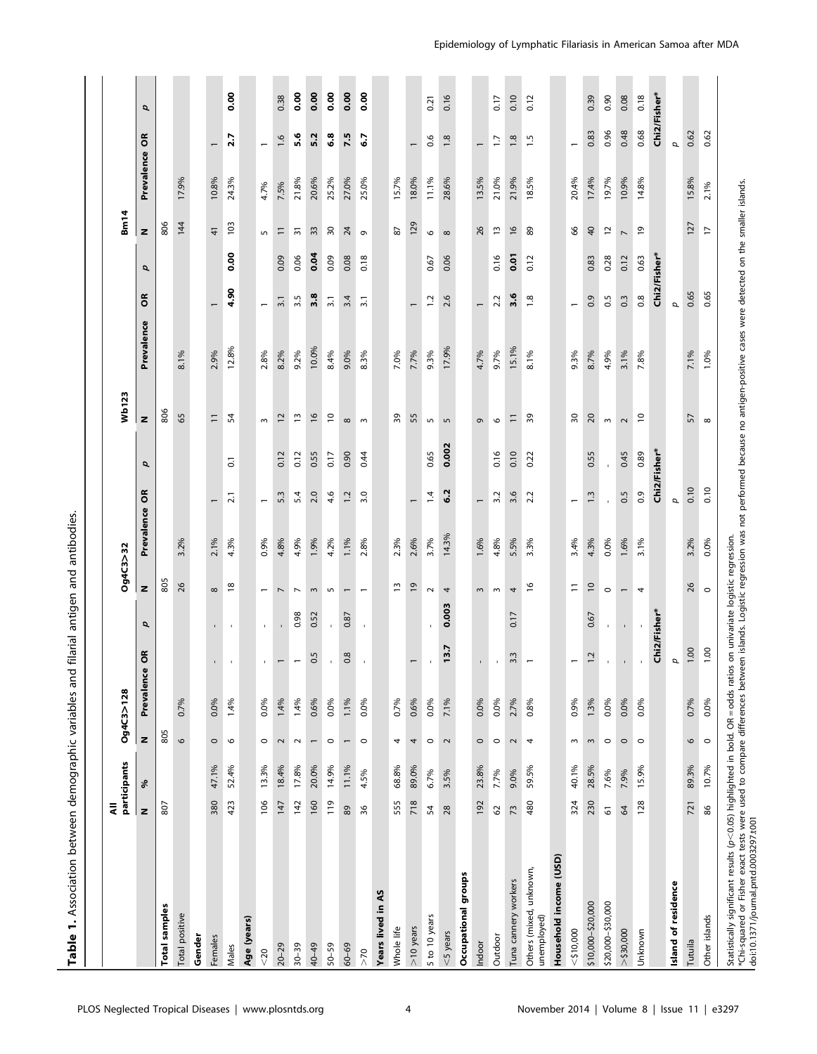|                                        | ₹               | participants |                          | Og4C3>128  |                          |                          | Og4C3>32                 |            |                          |       | Wb123             |            |                          |      | <b>Bm14</b>              |            |                          |                |
|----------------------------------------|-----------------|--------------|--------------------------|------------|--------------------------|--------------------------|--------------------------|------------|--------------------------|-------|-------------------|------------|--------------------------|------|--------------------------|------------|--------------------------|----------------|
|                                        | z               | శి           | z                        | Prevalence | õ                        | d                        | z                        | Prevalence | p<br>õ                   |       | z                 | Prevalence | õ                        | p    | z                        | Prevalence | õ                        | p              |
| samples<br>Total                       | 807             |              | 805                      |            |                          |                          | 805                      |            |                          |       | 806               |            |                          |      | 806                      |            |                          |                |
| Total positive                         |                 |              | $\circ$                  | 0.7%       |                          |                          | 26                       | 3.2%       |                          |       | 65                | 8.1%       |                          |      | 144                      | 17.9%      |                          |                |
| Gender                                 |                 |              |                          |            |                          |                          |                          |            |                          |       |                   |            |                          |      |                          |            |                          |                |
| Females                                | 380             | 47.1%        | $\circ$                  | 0.0%       | $\mathbf{r}$             | $\mathbf{L}$             | $\infty$                 | 2.1%       |                          |       | $\Xi$             | 2.9%       |                          |      | $\frac{4}{3}$            | 10.8%      |                          |                |
| Males                                  | 423             | 52.4%        | $\circ$                  | 1.4%       | $\bar{1}$                | $\mathbf{I}$             | $\frac{8}{2}$            | 4.3%       | $\overline{0}$<br>21     |       | 54                | 12.8%      | 4.90                     | 0.00 | 103                      | 24.3%      | 2.7                      | 0.00           |
| Age (years)                            |                 |              |                          |            |                          |                          |                          |            |                          |       |                   |            |                          |      |                          |            |                          |                |
| $20$                                   | 106             | 13.3%        | $\circ$                  | 0.0%       | $\mathbf{I}$             | $\mathbf{r}$             | $\overline{\phantom{0}}$ | 0.9%       | $\overline{\phantom{0}}$ |       | $\sim$            | 2.8%       | $\overline{\phantom{0}}$ |      | 5                        | 4.7%       | $\overline{\phantom{0}}$ |                |
| $20 - 29$                              | 147             | 18.4%        | $\sim$                   | 1.4%       | $\overline{\phantom{0}}$ | $\overline{\phantom{a}}$ | $\overline{\phantom{a}}$ | 4.8%       | 0.12<br>5.3              |       | $\overline{12}$   | 8.2%       | $\overline{3}$ .         | 0.09 | $\Xi$                    | 7.5%       | 1.6                      | 0.38           |
| $30 - 39$                              | 142             | 17.8%        | $\sim$                   | 1.4%       | $\overline{\phantom{m}}$ | 0.98                     | $\overline{\phantom{a}}$ | 4.9%       | 0.12<br>5.4              |       | $\frac{3}{2}$     | 9.2%       | 3.5                      | 0.06 | $\overline{5}$           | 21.8%      | 5.6                      | 0.00           |
| 40-49                                  | 160             | 20.0%        | $\overline{\phantom{0}}$ | 0.6%       | 0.5                      | 0.52                     | $\sim$                   | 1.9%       | 0.55<br>2.0              |       | $\frac{6}{2}$     | 10.0%      | 3.8                      | 0.04 | 33                       | 20.6%      | 5.2                      | 0.00           |
| $50 - 59$                              | 119             | 14.9%        | $\circ$                  | 0.0%       | $\bar{\mathbf{r}}$       | $\mathbf{r}$             | $\sqrt{2}$               | 4.2%       | 0.17<br>4.6              |       | $\overline{c}$    | 8.4%       | $\overline{3.1}$         | 0.09 | $\overline{\mathrm{s}}$  | 25.2%      | $\ddot{\bullet}$ .8      | $\frac{8}{10}$ |
| $60 - 69$                              | $\rm 89$        | 11.1%        | $\overline{\phantom{0}}$ | 1.1%       | 0.8                      | 0.87                     | $\overline{ }$           | 1.1%       | 0.90<br>$\ddot{ }$ :1    |       | $\infty$          | 9.0%       | 3.4                      | 0.08 | $\overline{24}$          | 27.0%      | 7.5                      | 0.00           |
| >70                                    | 36              | 4.5%         | $\circ$                  | 0.0%       | $\bar{1}$                | $\mathbf{r}$             | $\overline{\phantom{m}}$ | 2.8%       | 0.44<br>3.0              |       | $\sim$            | 8.3%       | $\overline{3.1}$         | 0.18 | G                        | 25.0%      | 6.7                      | 0.00           |
| Years lived in AS                      |                 |              |                          |            |                          |                          |                          |            |                          |       |                   |            |                          |      |                          |            |                          |                |
| Whole life                             | 555             | 68.8%        | 4                        | 0.7%       |                          |                          | IJ                       | 2.3%       |                          |       | 39                | 7.0%       |                          |      | 2                        | 15.7%      |                          |                |
| $>10$ years                            | 718             | 89.0%        | 4                        | 0.6%       | $\overline{\phantom{0}}$ |                          | $\overline{6}$           | 2.6%       | $\overline{\phantom{0}}$ |       | 55                | 7.7%       | $\overline{ }$           |      | 129                      | 18.0%      | $\overline{\phantom{0}}$ |                |
| 5 to 10 years                          | 54              | 6.7%         | $\circ$                  | $0.0\%$    |                          |                          | $\sim$                   | 3.7%       | 0.65<br>1.4              |       | $\mathsf{L}\cap$  | 9.3%       | $\overline{c}$           | 0.67 | $\circ$                  | 11.1%      | 0.6                      | 0.21           |
| $<$ 5 years                            | 28              | 3.5%         | $\sim$                   | 7.1%       | 13.7                     | 0.003                    | 4                        | 14.3%      | 6.2                      | 0.002 | $\mathsf{L}\cap$  | 17.9%      | 2.6                      | 0.06 | $\infty$                 | 28.6%      | 1.8                      | 0.16           |
| Occupational groups                    |                 |              |                          |            |                          |                          |                          |            |                          |       |                   |            |                          |      |                          |            |                          |                |
| Indoor                                 | 192             | 23.8%        | $\circ$                  | 0.0%       | $\mathbf{I}$             |                          | $\sim$                   | 1.6%       | $\overline{\phantom{m}}$ |       | $\mathsf{\sigma}$ | 4.7%       | $\overline{ }$           |      | 26                       | 13.5%      | $\overline{ }$           |                |
| Outdoor                                | 3               | 7.7%         | $\circ$                  | 0.0%       |                          |                          | $\,$ $\,$                | 4.8%       | 0.16<br>3.2              |       | $\circ$           | 9.7%       | 22                       | 0.16 | $\overline{\mathbf{u}}$  | 21.0%      | $\overline{1}$           | 0.17           |
| Tuna cannery workers                   | $\overline{73}$ | 9.0%         | $\sim$                   | 2.7%       | 3.3                      | 0.17                     | $\overline{\mathcal{A}}$ | 5.5%       | 0.10<br>3.6              |       | $\overline{-}$    | 15.1%      | 3.6                      | 0.01 | $\frac{6}{2}$            | 21.9%      | $\frac{8}{18}$           | 0.10           |
| Others (mixed, unknown,<br>unemployed) | 480             | 59.5%        | 4                        | 0.8%       |                          |                          | $\frac{6}{2}$            | 3.3%       | 0.22<br>2.2              |       | 39                | 8.1%       | $\frac{8}{1}$            | 0.12 | 89                       | 18.5%      | 1.5                      | 0.12           |
| Household income (USD)                 |                 |              |                          |            |                          |                          |                          |            |                          |       |                   |            |                          |      |                          |            |                          |                |
| $<$ \$10,000                           | 324             | 40.1%        | ω                        | 0.9%       | $\overline{\phantom{0}}$ |                          | $\equiv$                 | 3.4%       | $\overline{\phantom{0}}$ |       | $\sqrt{2}$        | 9.3%       | $\overline{\phantom{0}}$ |      | 8                        | 20.4%      | $\overline{\phantom{0}}$ |                |
| \$10,000-\$20,000                      | 230             | 28.5%        | $\sim$                   | 1.3%       | 1.2                      | 0.67                     | $\approx$                | 4.3%       | 0.55<br>$1.\overline{3}$ |       | 20                | 8.7%       | 0.9                      | 0.83 | $\overline{a}$           | 17.4%      | 0.83                     | 0.39           |
| \$20,000-\$30,000                      | 6               | 7.6%         | $\circ$                  | 0.0%       | $\mathbf{r}$             | $\mathbf{I}$             | $\circ$                  | $0.0\%$    |                          |       | $\,$ $\,$         | 4.9%       | $\overline{0.5}$         | 0.28 | $\overline{\phantom{a}}$ | 19.7%      | 0.96                     | 0.90           |
| >530,000                               | $\mathcal{Q}$   | 7.9%         | $\circ$                  | 0.0%       |                          | $\mathbf{r}$             | $\overline{\phantom{m}}$ | 1.6%       | 0.45<br>0.5              |       | $\sim$            | 3.1%       | $\frac{3}{2}$            | 0.12 | $\overline{\phantom{a}}$ | 10.9%      | 0.48                     | 0.08           |
| Unknown                                | 128             | 15.9%        | $\circ$                  | 0.0%       |                          |                          | $\overline{\mathcal{A}}$ | 3.1%       | 0.89<br>$\overline{0}$   |       | $\overline{c}$    | 7.8%       | $_{\rm 0.8}$             | 0.63 | ٥ŗ                       | 14.8%      | 0.68                     | 0.18           |
|                                        |                 |              |                          |            | Chi2/Fisher*             |                          |                          |            | Chi2/Fisher*             |       |                   |            | Chi2/Fisher*             |      |                          |            |                          | Chi2/Fisher*   |
| Island of residence                    |                 |              |                          |            | p                        |                          |                          |            | ρ                        |       |                   |            | ρ                        |      |                          |            | ρ                        |                |
| Tutuila                                | 721             | 89.3%        | 9                        | 0.7%       | 1.00                     |                          | 26                       | 3.2%       | 0.10                     |       | 57                | 7.1%       | 0.65                     |      | 127                      | 15.8%      | 0.62                     |                |
| Other islands                          | 86              | 10.7%        | $\circ$                  | $0.0\%$    | 1.00                     |                          | $\circ$                  | 0.0%       | 0.10                     |       | $\infty$          | 1.0%       | 0.65                     |      | $\overline{1}$           | 2.1%       | 0.62                     |                |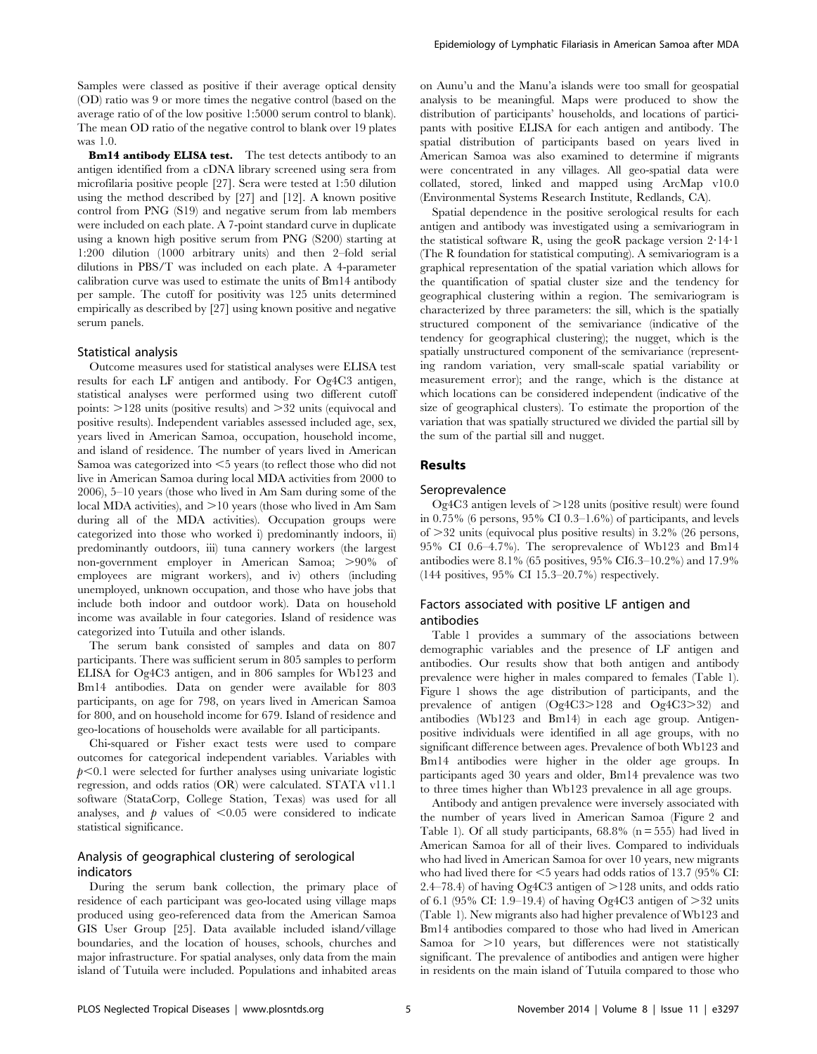Samples were classed as positive if their average optical density (OD) ratio was 9 or more times the negative control (based on the average ratio of of the low positive 1:5000 serum control to blank). The mean OD ratio of the negative control to blank over 19 plates was 1.0.

Bm14 antibody ELISA test. The test detects antibody to an antigen identified from a cDNA library screened using sera from microfilaria positive people [27]. Sera were tested at 1:50 dilution using the method described by [27] and [12]. A known positive control from PNG (S19) and negative serum from lab members were included on each plate. A 7-point standard curve in duplicate using a known high positive serum from PNG (S200) starting at 1:200 dilution (1000 arbitrary units) and then 2–fold serial dilutions in PBS/T was included on each plate. A 4-parameter calibration curve was used to estimate the units of Bm14 antibody per sample. The cutoff for positivity was 125 units determined empirically as described by [27] using known positive and negative serum panels.

#### Statistical analysis

Outcome measures used for statistical analyses were ELISA test results for each LF antigen and antibody. For Og4C3 antigen, statistical analyses were performed using two different cutoff points:  $>128$  units (positive results) and  $>32$  units (equivocal and positive results). Independent variables assessed included age, sex, years lived in American Samoa, occupation, household income, and island of residence. The number of years lived in American Samoa was categorized into  $\leq$  years (to reflect those who did not live in American Samoa during local MDA activities from 2000 to 2006), 5–10 years (those who lived in Am Sam during some of the local MDA activities), and  $>10$  years (those who lived in Am Sam during all of the MDA activities). Occupation groups were categorized into those who worked i) predominantly indoors, ii) predominantly outdoors, iii) tuna cannery workers (the largest non-government employer in American Samoa; >90% of employees are migrant workers), and iv) others (including unemployed, unknown occupation, and those who have jobs that include both indoor and outdoor work). Data on household income was available in four categories. Island of residence was categorized into Tutuila and other islands.

The serum bank consisted of samples and data on 807 participants. There was sufficient serum in 805 samples to perform ELISA for Og4C3 antigen, and in 806 samples for Wb123 and Bm14 antibodies. Data on gender were available for 803 participants, on age for 798, on years lived in American Samoa for 800, and on household income for 679. Island of residence and geo-locations of households were available for all participants.

Chi-squared or Fisher exact tests were used to compare outcomes for categorical independent variables. Variables with  $p<0.1$  were selected for further analyses using univariate logistic regression, and odds ratios (OR) were calculated. STATA v11.1 software (StataCorp, College Station, Texas) was used for all analyses, and  $\dot{p}$  values of  $\leq 0.05$  were considered to indicate statistical significance.

## Analysis of geographical clustering of serological indicators

During the serum bank collection, the primary place of residence of each participant was geo-located using village maps produced using geo-referenced data from the American Samoa GIS User Group [25]. Data available included island/village boundaries, and the location of houses, schools, churches and major infrastructure. For spatial analyses, only data from the main island of Tutuila were included. Populations and inhabited areas on Aunu'u and the Manu'a islands were too small for geospatial analysis to be meaningful. Maps were produced to show the distribution of participants' households, and locations of participants with positive ELISA for each antigen and antibody. The spatial distribution of participants based on years lived in American Samoa was also examined to determine if migrants were concentrated in any villages. All geo-spatial data were collated, stored, linked and mapped using ArcMap v10.0 (Environmental Systems Research Institute, Redlands, CA).

Spatial dependence in the positive serological results for each antigen and antibody was investigated using a semivariogram in the statistical software R, using the geoR package version  $2.14.1$ (The R foundation for statistical computing). A semivariogram is a graphical representation of the spatial variation which allows for the quantification of spatial cluster size and the tendency for geographical clustering within a region. The semivariogram is characterized by three parameters: the sill, which is the spatially structured component of the semivariance (indicative of the tendency for geographical clustering); the nugget, which is the spatially unstructured component of the semivariance (representing random variation, very small-scale spatial variability or measurement error); and the range, which is the distance at which locations can be considered independent (indicative of the size of geographical clusters). To estimate the proportion of the variation that was spatially structured we divided the partial sill by the sum of the partial sill and nugget.

## Results

## Seroprevalence

 $Og4C3$  antigen levels of  $>128$  units (positive result) were found in 0.75% (6 persons, 95% CI 0.3–1.6%) of participants, and levels of  $>32$  units (equivocal plus positive results) in 3.2% (26 persons, 95% CI 0.6–4.7%). The seroprevalence of Wb123 and Bm14 antibodies were 8.1% (65 positives, 95% CI6.3–10.2%) and 17.9% (144 positives, 95% CI 15.3–20.7%) respectively.

## Factors associated with positive LF antigen and antibodies

Table 1 provides a summary of the associations between demographic variables and the presence of LF antigen and antibodies. Our results show that both antigen and antibody prevalence were higher in males compared to females (Table 1). Figure 1 shows the age distribution of participants, and the prevalence of antigen (Og4C3>128 and Og4C3>32) and antibodies (Wb123 and Bm14) in each age group. Antigenpositive individuals were identified in all age groups, with no significant difference between ages. Prevalence of both Wb123 and Bm14 antibodies were higher in the older age groups. In participants aged 30 years and older, Bm14 prevalence was two to three times higher than Wb123 prevalence in all age groups.

Antibody and antigen prevalence were inversely associated with the number of years lived in American Samoa (Figure 2 and Table 1). Of all study participants,  $68.8\%$  (n = 555) had lived in American Samoa for all of their lives. Compared to individuals who had lived in American Samoa for over 10 years, new migrants who had lived there for  $\leq$ 5 years had odds ratios of 13.7 (95% CI: 2.4–78.4) of having Og4C3 antigen of  $>128$  units, and odds ratio of 6.1 (95% CI: 1.9–19.4) of having Og4C3 antigen of  $>32$  units (Table 1). New migrants also had higher prevalence of Wb123 and Bm14 antibodies compared to those who had lived in American Samoa for  $>10$  years, but differences were not statistically significant. The prevalence of antibodies and antigen were higher in residents on the main island of Tutuila compared to those who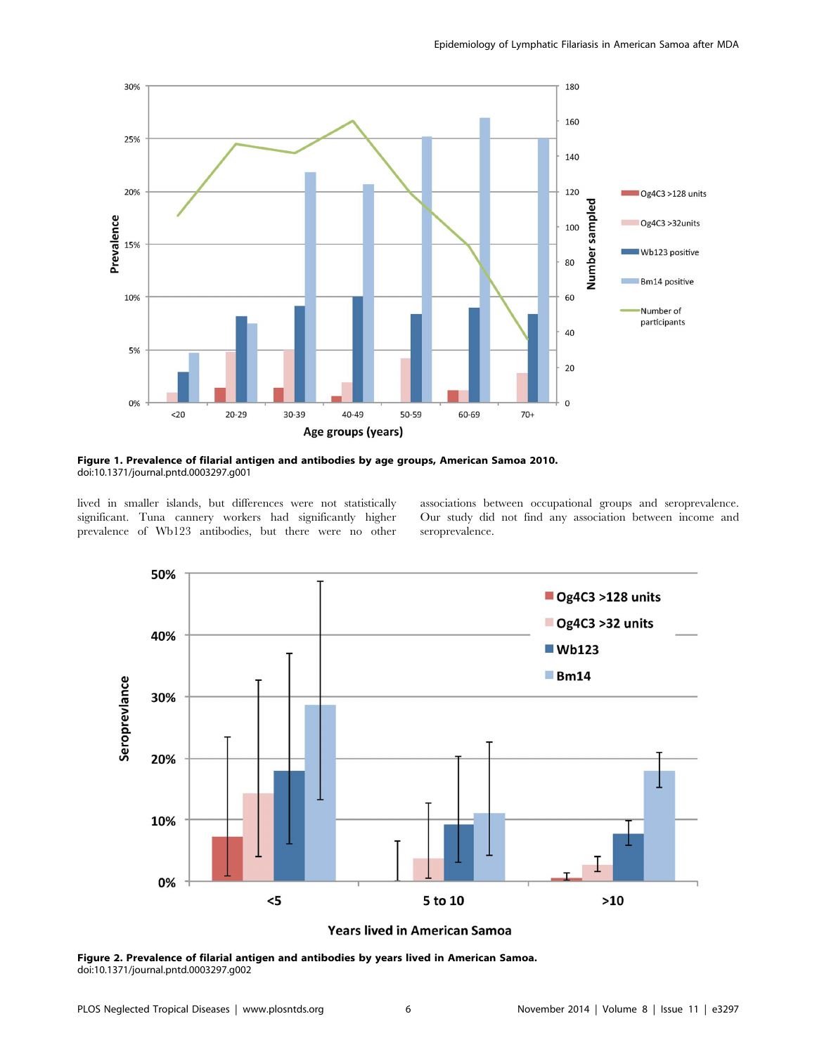

Figure 1. Prevalence of filarial antigen and antibodies by age groups, American Samoa 2010. doi:10.1371/journal.pntd.0003297.g001

lived in smaller islands, but differences were not statistically significant. Tuna cannery workers had significantly higher prevalence of Wb123 antibodies, but there were no other associations between occupational groups and seroprevalence. Our study did not find any association between income and seroprevalence.



Years lived in American Samoa

Figure 2. Prevalence of filarial antigen and antibodies by years lived in American Samoa. doi:10.1371/journal.pntd.0003297.g002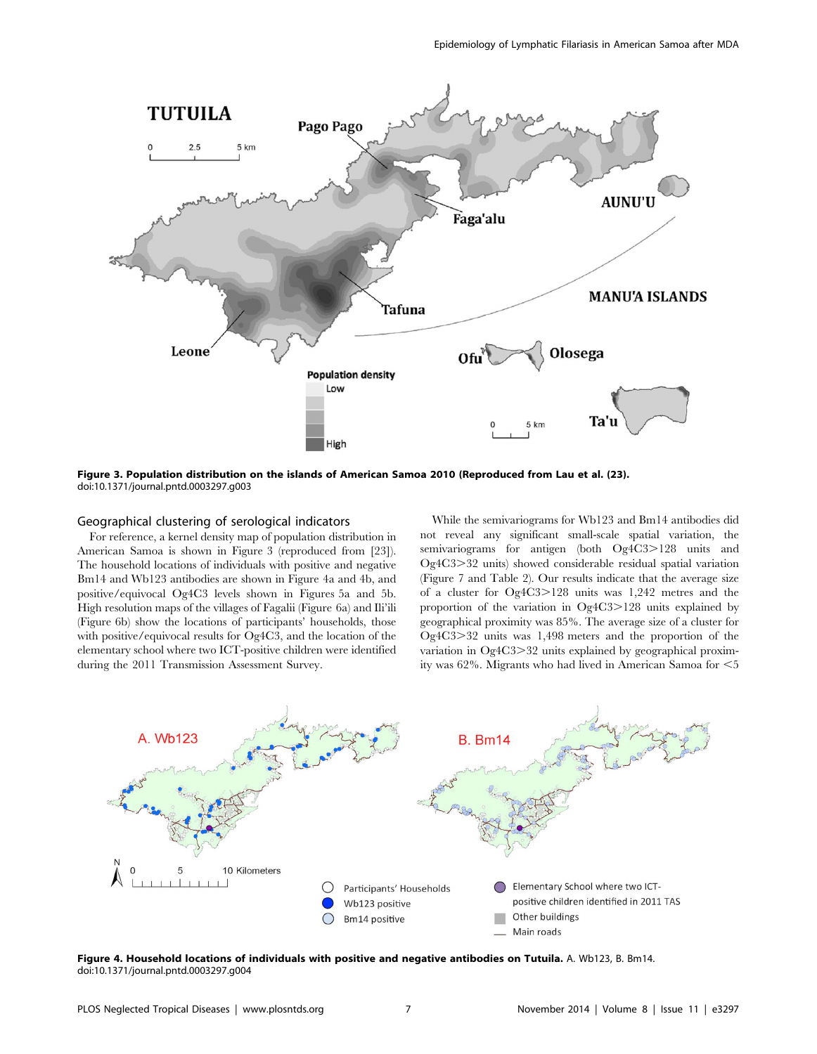

Figure 3. Population distribution on the islands of American Samoa 2010 (Reproduced from Lau et al. (23). doi:10.1371/journal.pntd.0003297.g003

## Geographical clustering of serological indicators

For reference, a kernel density map of population distribution in American Samoa is shown in Figure 3 (reproduced from [23]). The household locations of individuals with positive and negative Bm14 and Wb123 antibodies are shown in Figure 4a and 4b, and positive/equivocal Og4C3 levels shown in Figures 5a and 5b. High resolution maps of the villages of Fagalii (Figure 6a) and Ili'ili (Figure 6b) show the locations of participants' households, those with positive/equivocal results for Og4C3, and the location of the elementary school where two ICT-positive children were identified during the 2011 Transmission Assessment Survey.

While the semivariograms for Wb123 and Bm14 antibodies did not reveal any significant small-scale spatial variation, the semivariograms for antigen (both Og4C3>128 units and Og4C3.32 units) showed considerable residual spatial variation (Figure 7 and Table 2). Our results indicate that the average size of a cluster for  $Og4C3>128$  units was 1,242 metres and the proportion of the variation in  $Og4C3>128$  units explained by geographical proximity was 85%. The average size of a cluster for  $Oq4C3>32$  units was 1,498 meters and the proportion of the variation in  $Og4C3 > 32$  units explained by geographical proximity was  $62\%$ . Migrants who had lived in American Samoa for  $\leq 5$ 



Figure 4. Household locations of individuals with positive and negative antibodies on Tutuila. A. Wb123, B. Bm14. doi:10.1371/journal.pntd.0003297.g004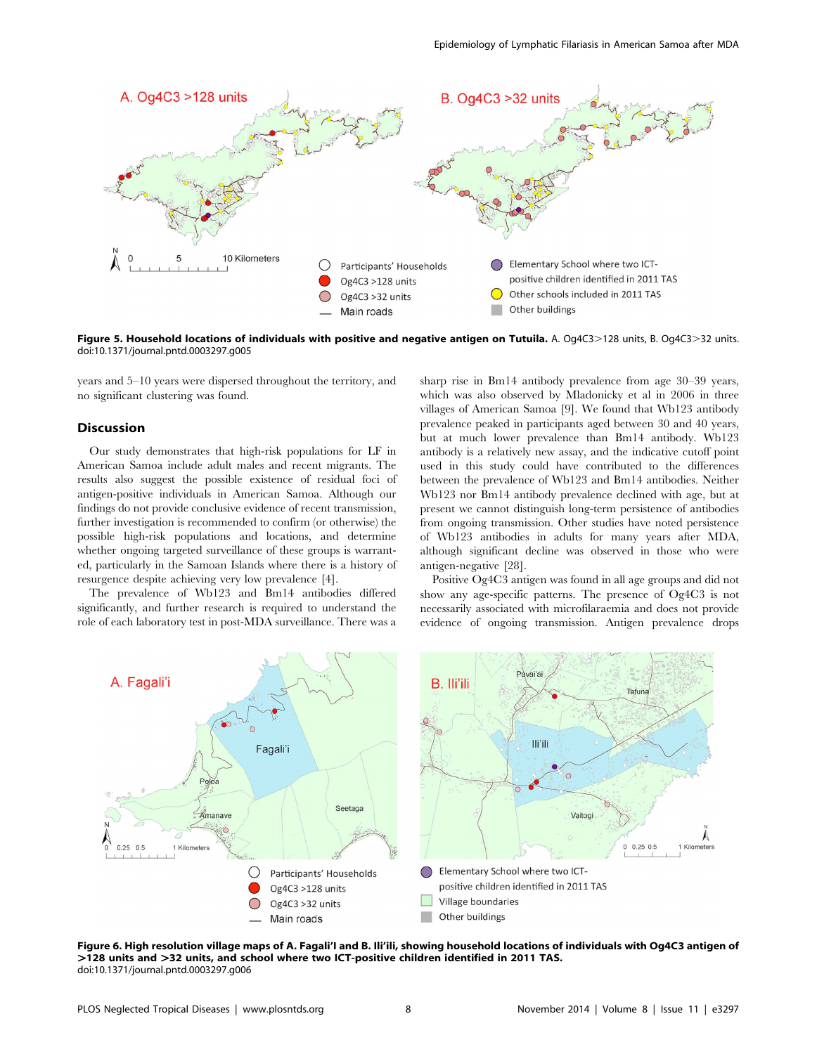

Figure 5. Household locations of individuals with positive and negative antigen on Tutuila. A. Og4C3>128 units, B. Og4C3>32 units. doi:10.1371/journal.pntd.0003297.g005

years and 5–10 years were dispersed throughout the territory, and no significant clustering was found.

## Discussion

Our study demonstrates that high-risk populations for LF in American Samoa include adult males and recent migrants. The results also suggest the possible existence of residual foci of antigen-positive individuals in American Samoa. Although our findings do not provide conclusive evidence of recent transmission, further investigation is recommended to confirm (or otherwise) the possible high-risk populations and locations, and determine whether ongoing targeted surveillance of these groups is warranted, particularly in the Samoan Islands where there is a history of resurgence despite achieving very low prevalence [4].

The prevalence of Wb123 and Bm14 antibodies differed significantly, and further research is required to understand the role of each laboratory test in post-MDA surveillance. There was a sharp rise in Bm14 antibody prevalence from age 30–39 years, which was also observed by Mladonicky et al in 2006 in three villages of American Samoa [9]. We found that Wb123 antibody prevalence peaked in participants aged between 30 and 40 years, but at much lower prevalence than Bm14 antibody. Wb123 antibody is a relatively new assay, and the indicative cutoff point used in this study could have contributed to the differences between the prevalence of Wb123 and Bm14 antibodies. Neither Wb123 nor Bm14 antibody prevalence declined with age, but at present we cannot distinguish long-term persistence of antibodies from ongoing transmission. Other studies have noted persistence of Wb123 antibodies in adults for many years after MDA, although significant decline was observed in those who were antigen-negative [28].

Positive Og4C3 antigen was found in all age groups and did not show any age-specific patterns. The presence of Og4C3 is not necessarily associated with microfilaraemia and does not provide evidence of ongoing transmission. Antigen prevalence drops



Figure 6. High resolution village maps of A. Fagali'I and B. Ili'ili, showing household locations of individuals with Og4C3 antigen of >128 units and >32 units, and school where two ICT-positive children identified in 2011 TAS. doi:10.1371/journal.pntd.0003297.g006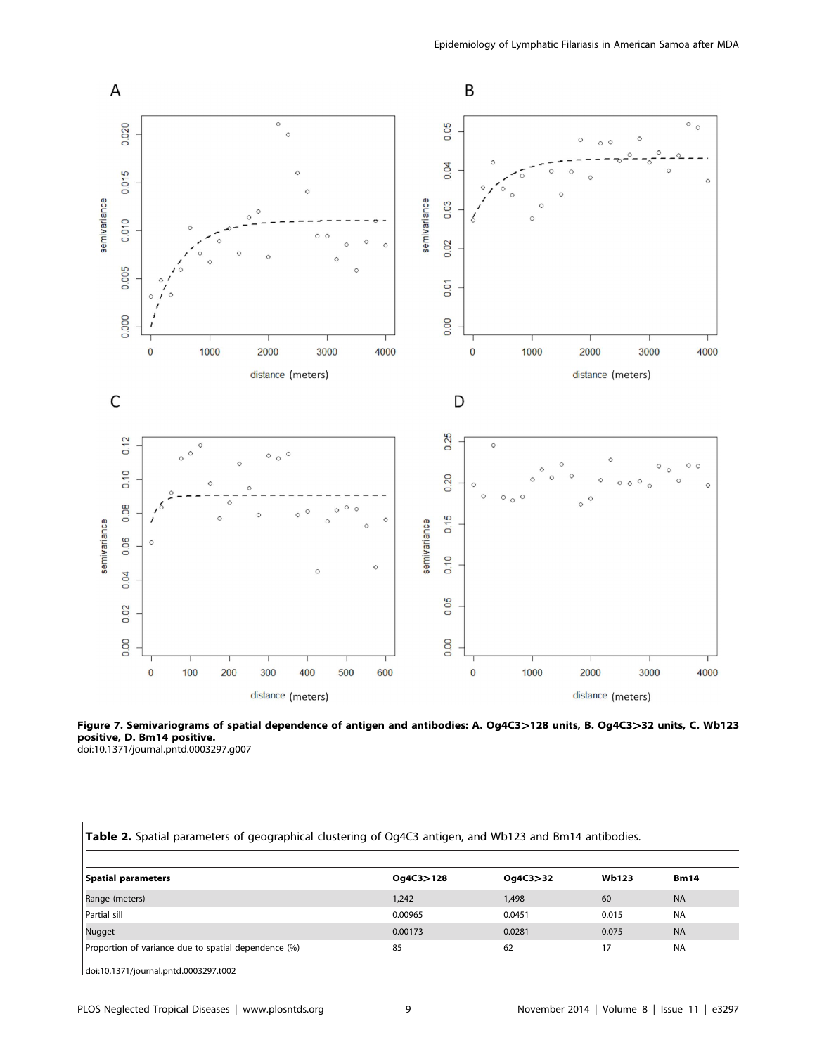

Figure 7. Semivariograms of spatial dependence of antigen and antibodies: A. Og4C3>128 units, B. Og4C3>32 units, C. Wb123 positive, D. Bm14 positive. doi:10.1371/journal.pntd.0003297.g007

| Table 2. Spatial parameters of geographical clustering of Og4C3 antigen, and Wb123 and Bm14 antibodies. |  |  |  |  |  |  |
|---------------------------------------------------------------------------------------------------------|--|--|--|--|--|--|
|---------------------------------------------------------------------------------------------------------|--|--|--|--|--|--|

| Spatial parameters                                   | Og4C3>128 | Oq4C3>32 | <b>Wb123</b> | <b>Bm14</b> |
|------------------------------------------------------|-----------|----------|--------------|-------------|
| Range (meters)                                       | 1,242     | 1,498    | 60           | <b>NA</b>   |
| Partial sill                                         | 0.00965   | 0.0451   | 0.015        | <b>NA</b>   |
| Nugget                                               | 0.00173   | 0.0281   | 0.075        | <b>NA</b>   |
| Proportion of variance due to spatial dependence (%) | 85        | 62       |              | <b>NA</b>   |

doi:10.1371/journal.pntd.0003297.t002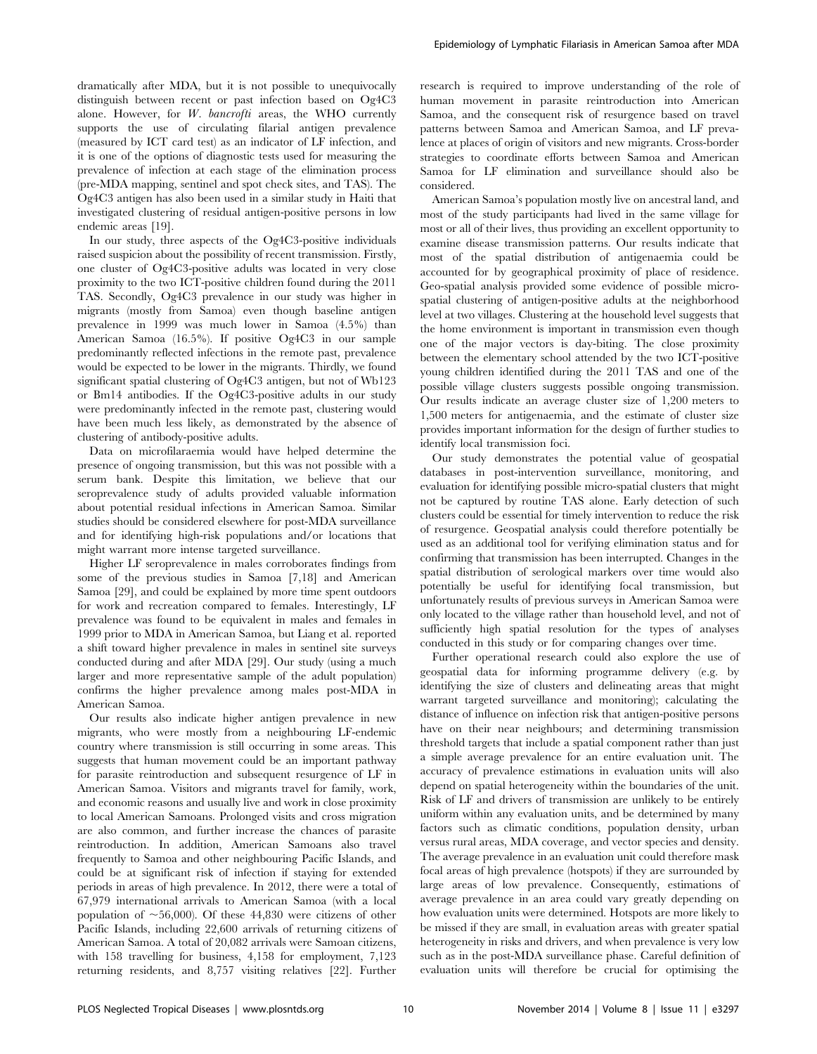dramatically after MDA, but it is not possible to unequivocally distinguish between recent or past infection based on Og4C3 alone. However, for  $W$ . bancrofti areas, the WHO currently supports the use of circulating filarial antigen prevalence (measured by ICT card test) as an indicator of LF infection, and it is one of the options of diagnostic tests used for measuring the prevalence of infection at each stage of the elimination process (pre-MDA mapping, sentinel and spot check sites, and TAS). The Og4C3 antigen has also been used in a similar study in Haiti that investigated clustering of residual antigen-positive persons in low endemic areas [19].

In our study, three aspects of the Og4C3-positive individuals raised suspicion about the possibility of recent transmission. Firstly, one cluster of Og4C3-positive adults was located in very close proximity to the two ICT-positive children found during the 2011 TAS. Secondly, Og4C3 prevalence in our study was higher in migrants (mostly from Samoa) even though baseline antigen prevalence in 1999 was much lower in Samoa (4.5%) than American Samoa (16.5%). If positive Og4C3 in our sample predominantly reflected infections in the remote past, prevalence would be expected to be lower in the migrants. Thirdly, we found significant spatial clustering of Og4C3 antigen, but not of Wb123 or Bm14 antibodies. If the Og4C3-positive adults in our study were predominantly infected in the remote past, clustering would have been much less likely, as demonstrated by the absence of clustering of antibody-positive adults.

Data on microfilaraemia would have helped determine the presence of ongoing transmission, but this was not possible with a serum bank. Despite this limitation, we believe that our seroprevalence study of adults provided valuable information about potential residual infections in American Samoa. Similar studies should be considered elsewhere for post-MDA surveillance and for identifying high-risk populations and/or locations that might warrant more intense targeted surveillance.

Higher LF seroprevalence in males corroborates findings from some of the previous studies in Samoa [7,18] and American Samoa [29], and could be explained by more time spent outdoors for work and recreation compared to females. Interestingly, LF prevalence was found to be equivalent in males and females in 1999 prior to MDA in American Samoa, but Liang et al. reported a shift toward higher prevalence in males in sentinel site surveys conducted during and after MDA [29]. Our study (using a much larger and more representative sample of the adult population) confirms the higher prevalence among males post-MDA in American Samoa.

Our results also indicate higher antigen prevalence in new migrants, who were mostly from a neighbouring LF-endemic country where transmission is still occurring in some areas. This suggests that human movement could be an important pathway for parasite reintroduction and subsequent resurgence of LF in American Samoa. Visitors and migrants travel for family, work, and economic reasons and usually live and work in close proximity to local American Samoans. Prolonged visits and cross migration are also common, and further increase the chances of parasite reintroduction. In addition, American Samoans also travel frequently to Samoa and other neighbouring Pacific Islands, and could be at significant risk of infection if staying for extended periods in areas of high prevalence. In 2012, there were a total of 67,979 international arrivals to American Samoa (with a local population of  $\sim 56,000$ ). Of these 44,830 were citizens of other Pacific Islands, including 22,600 arrivals of returning citizens of American Samoa. A total of 20,082 arrivals were Samoan citizens, with 158 travelling for business, 4,158 for employment, 7,123 returning residents, and 8,757 visiting relatives [22]. Further

research is required to improve understanding of the role of human movement in parasite reintroduction into American Samoa, and the consequent risk of resurgence based on travel patterns between Samoa and American Samoa, and LF prevalence at places of origin of visitors and new migrants. Cross-border strategies to coordinate efforts between Samoa and American Samoa for LF elimination and surveillance should also be considered.

American Samoa's population mostly live on ancestral land, and most of the study participants had lived in the same village for most or all of their lives, thus providing an excellent opportunity to examine disease transmission patterns. Our results indicate that most of the spatial distribution of antigenaemia could be accounted for by geographical proximity of place of residence. Geo-spatial analysis provided some evidence of possible microspatial clustering of antigen-positive adults at the neighborhood level at two villages. Clustering at the household level suggests that the home environment is important in transmission even though one of the major vectors is day-biting. The close proximity between the elementary school attended by the two ICT-positive young children identified during the 2011 TAS and one of the possible village clusters suggests possible ongoing transmission. Our results indicate an average cluster size of 1,200 meters to 1,500 meters for antigenaemia, and the estimate of cluster size provides important information for the design of further studies to identify local transmission foci.

Our study demonstrates the potential value of geospatial databases in post-intervention surveillance, monitoring, and evaluation for identifying possible micro-spatial clusters that might not be captured by routine TAS alone. Early detection of such clusters could be essential for timely intervention to reduce the risk of resurgence. Geospatial analysis could therefore potentially be used as an additional tool for verifying elimination status and for confirming that transmission has been interrupted. Changes in the spatial distribution of serological markers over time would also potentially be useful for identifying focal transmission, but unfortunately results of previous surveys in American Samoa were only located to the village rather than household level, and not of sufficiently high spatial resolution for the types of analyses conducted in this study or for comparing changes over time.

Further operational research could also explore the use of geospatial data for informing programme delivery (e.g. by identifying the size of clusters and delineating areas that might warrant targeted surveillance and monitoring); calculating the distance of influence on infection risk that antigen-positive persons have on their near neighbours; and determining transmission threshold targets that include a spatial component rather than just a simple average prevalence for an entire evaluation unit. The accuracy of prevalence estimations in evaluation units will also depend on spatial heterogeneity within the boundaries of the unit. Risk of LF and drivers of transmission are unlikely to be entirely uniform within any evaluation units, and be determined by many factors such as climatic conditions, population density, urban versus rural areas, MDA coverage, and vector species and density. The average prevalence in an evaluation unit could therefore mask focal areas of high prevalence (hotspots) if they are surrounded by large areas of low prevalence. Consequently, estimations of average prevalence in an area could vary greatly depending on how evaluation units were determined. Hotspots are more likely to be missed if they are small, in evaluation areas with greater spatial heterogeneity in risks and drivers, and when prevalence is very low such as in the post-MDA surveillance phase. Careful definition of evaluation units will therefore be crucial for optimising the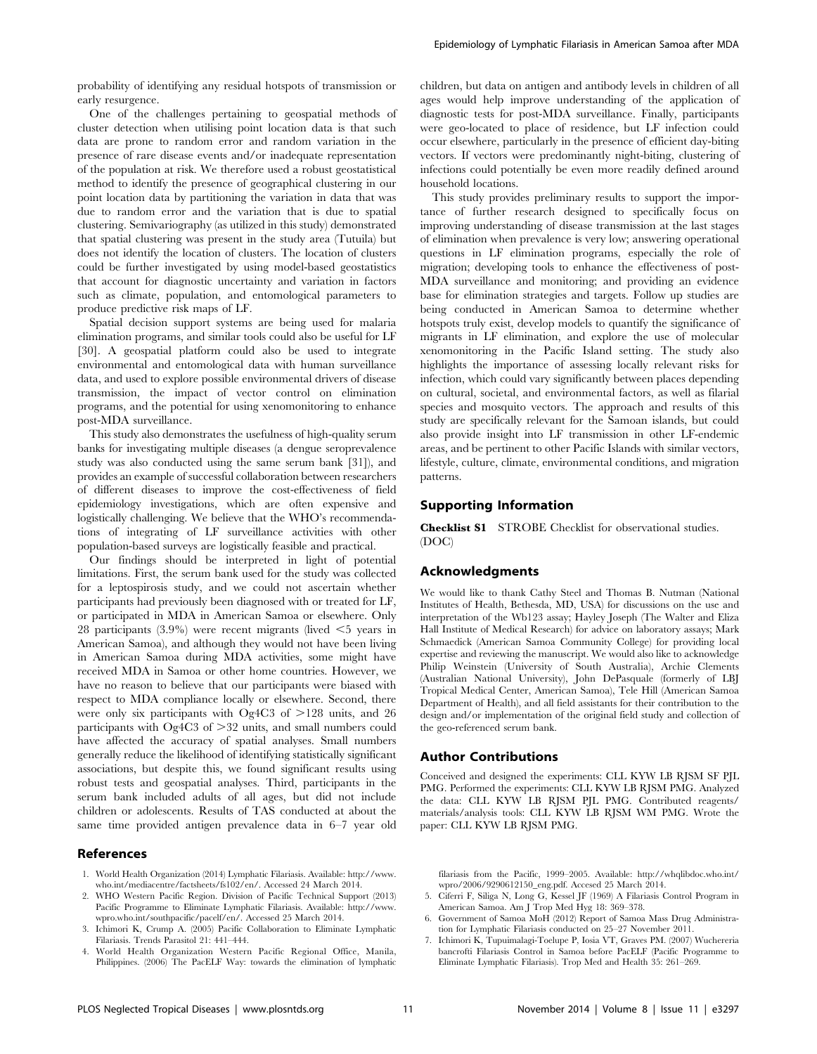probability of identifying any residual hotspots of transmission or early resurgence.

One of the challenges pertaining to geospatial methods of cluster detection when utilising point location data is that such data are prone to random error and random variation in the presence of rare disease events and/or inadequate representation of the population at risk. We therefore used a robust geostatistical method to identify the presence of geographical clustering in our point location data by partitioning the variation in data that was due to random error and the variation that is due to spatial clustering. Semivariography (as utilized in this study) demonstrated that spatial clustering was present in the study area (Tutuila) but does not identify the location of clusters. The location of clusters could be further investigated by using model-based geostatistics that account for diagnostic uncertainty and variation in factors such as climate, population, and entomological parameters to produce predictive risk maps of LF.

Spatial decision support systems are being used for malaria elimination programs, and similar tools could also be useful for LF [30]. A geospatial platform could also be used to integrate environmental and entomological data with human surveillance data, and used to explore possible environmental drivers of disease transmission, the impact of vector control on elimination programs, and the potential for using xenomonitoring to enhance post-MDA surveillance.

This study also demonstrates the usefulness of high-quality serum banks for investigating multiple diseases (a dengue seroprevalence study was also conducted using the same serum bank [31]), and provides an example of successful collaboration between researchers of different diseases to improve the cost-effectiveness of field epidemiology investigations, which are often expensive and logistically challenging. We believe that the WHO's recommendations of integrating of LF surveillance activities with other population-based surveys are logistically feasible and practical.

Our findings should be interpreted in light of potential limitations. First, the serum bank used for the study was collected for a leptospirosis study, and we could not ascertain whether participants had previously been diagnosed with or treated for LF, or participated in MDA in American Samoa or elsewhere. Only 28 participants  $(3.9\%)$  were recent migrants (lived  $\leq$ 5 years in American Samoa), and although they would not have been living in American Samoa during MDA activities, some might have received MDA in Samoa or other home countries. However, we have no reason to believe that our participants were biased with respect to MDA compliance locally or elsewhere. Second, there were only six participants with Og4C3 of  $>128$  units, and 26 participants with  $Og4C3$  of  $>32$  units, and small numbers could have affected the accuracy of spatial analyses. Small numbers generally reduce the likelihood of identifying statistically significant associations, but despite this, we found significant results using robust tests and geospatial analyses. Third, participants in the serum bank included adults of all ages, but did not include children or adolescents. Results of TAS conducted at about the same time provided antigen prevalence data in 6–7 year old

## References

- 1. World Health Organization (2014) Lymphatic Filariasis. Available: [http://www.](http://www.who.int/mediacentre/factsheets/fs102/en/) [who.int/mediacentre/factsheets/fs102/en/.](http://www.who.int/mediacentre/factsheets/fs102/en/) Accessed 24 March 2014.
- 2. WHO Western Pacific Region. Division of Pacific Technical Support (2013) Pacific Programme to Eliminate Lymphatic Filariasis. Available: [http://www.](http://www.wpro.who.int/southpacific/pacelf/en/) [wpro.who.int/southpacific/pacelf/en/](http://www.wpro.who.int/southpacific/pacelf/en/). Accessed 25 March 2014.
- 3. Ichimori K, Crump A. (2005) Pacific Collaboration to Eliminate Lymphatic Filariasis. Trends Parasitol 21: 441–444.
- 4. World Health Organization Western Pacific Regional Office, Manila, Philippines. (2006) The PacELF Way: towards the elimination of lymphatic

children, but data on antigen and antibody levels in children of all ages would help improve understanding of the application of diagnostic tests for post-MDA surveillance. Finally, participants were geo-located to place of residence, but LF infection could occur elsewhere, particularly in the presence of efficient day-biting vectors. If vectors were predominantly night-biting, clustering of infections could potentially be even more readily defined around household locations.

This study provides preliminary results to support the importance of further research designed to specifically focus on improving understanding of disease transmission at the last stages of elimination when prevalence is very low; answering operational questions in LF elimination programs, especially the role of migration; developing tools to enhance the effectiveness of post-MDA surveillance and monitoring; and providing an evidence base for elimination strategies and targets. Follow up studies are being conducted in American Samoa to determine whether hotspots truly exist, develop models to quantify the significance of migrants in LF elimination, and explore the use of molecular xenomonitoring in the Pacific Island setting. The study also highlights the importance of assessing locally relevant risks for infection, which could vary significantly between places depending on cultural, societal, and environmental factors, as well as filarial species and mosquito vectors. The approach and results of this study are specifically relevant for the Samoan islands, but could also provide insight into LF transmission in other LF-endemic areas, and be pertinent to other Pacific Islands with similar vectors, lifestyle, culture, climate, environmental conditions, and migration patterns.

#### Supporting Information

Checklist S1 STROBE Checklist for observational studies. (DOC)

#### Acknowledgments

We would like to thank Cathy Steel and Thomas B. Nutman (National Institutes of Health, Bethesda, MD, USA) for discussions on the use and interpretation of the Wb123 assay; Hayley Joseph (The Walter and Eliza Hall Institute of Medical Research) for advice on laboratory assays; Mark Schmaedick (American Samoa Community College) for providing local expertise and reviewing the manuscript. We would also like to acknowledge Philip Weinstein (University of South Australia), Archie Clements (Australian National University), John DePasquale (formerly of LBJ Tropical Medical Center, American Samoa), Tele Hill (American Samoa Department of Health), and all field assistants for their contribution to the design and/or implementation of the original field study and collection of the geo-referenced serum bank.

#### Author Contributions

Conceived and designed the experiments: CLL KYW LB RJSM SF PJL PMG. Performed the experiments: CLL KYW LB RJSM PMG. Analyzed the data: CLL KYW LB RJSM PJL PMG. Contributed reagents/ materials/analysis tools: CLL KYW LB RJSM WM PMG. Wrote the paper: CLL KYW LB RJSM PMG.

filariasis from the Pacific, 1999–2005. Available: [http://whqlibdoc.who.int/](http://whqlibdoc.who.int/wpro/2006/9290612150_eng.pdf) [wpro/2006/9290612150\\_eng.pdf](http://whqlibdoc.who.int/wpro/2006/9290612150_eng.pdf). Accesed 25 March 2014.

- 5. Ciferri F, Siliga N, Long G, Kessel JF (1969) A Filariasis Control Program in American Samoa. Am J Trop Med Hyg 18: 369–378.
- 6. Government of Samoa MoH (2012) Report of Samoa Mass Drug Administration for Lymphatic Filariasis conducted on 25–27 November 2011.
- 7. Ichimori K, Tupuimalagi-Toelupe P, Iosia VT, Graves PM. (2007) Wuchereria bancrofti Filariasis Control in Samoa before PacELF (Pacific Programme to Eliminate Lymphatic Filariasis). Trop Med and Health 35: 261–269.